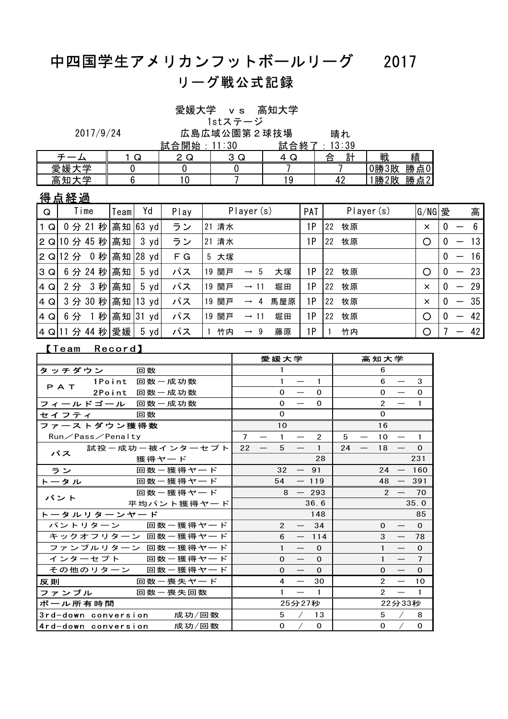## 中四国学生アメリカンフットボールリーグ 2017 リーグ戦公式記録

愛媛大学 vs 高知大学

1stステージ

晴れ 2017/9/24 広島広域公園第2球技場

|              |        | $=$ $\rightarrow$<br>開<br>始<br>合<br>訊 | n c<br>υv         | 試<br>終<br>合 | $\cdot$ 30<br>◠<br>υū |          |         |
|--------------|--------|---------------------------------------|-------------------|-------------|-----------------------|----------|---------|
|              | ╭<br>پ | $\sqrt{2}$<br>لو .                    | $\sim$<br>⌒<br>ىپ | ╭<br>↵<br>ש | $\equiv$ $\pm$<br>合   | 戦        | 績       |
| 瞢<br>愛媛      |        |                                       |                   |             |                       | 0勝<br>3敗 | 勝<br>点0 |
| 一<br>高<br>4п |        | ₩.                                    |                   | ۰.          | . .                   | ?敗<br>勝  | 勝<br>点2 |

得点経過

| Q     | Time                    | Team | Yd             | Play | Player (s)                |     | PAT | Player(s)       | G/NG 愛   |              | 高                                |
|-------|-------------------------|------|----------------|------|---------------------------|-----|-----|-----------------|----------|--------------|----------------------------------|
| $1$ Q | 0分 21 秒 高知 63 yd        |      |                | ラン   | 21 清水                     |     | ١P  | 牧原<br><b>22</b> | $\times$ | 0            |                                  |
|       | 2 Q 10 分 45 秒 高知   3 yd |      |                | ラン   | 21 清水                     |     | 1P  | 牧原<br><b>22</b> | ∩        | 0            | 13                               |
|       | 2 Q 12 分 0 秒 高知 28 yd   |      |                | F G  | 5 大塚                      |     |     |                 |          | $^{0}$       | 16<br>—                          |
| 3Q    | 6 分 24 秒 高知   5 yd      |      |                | パス   | 19 関戸<br>$\rightarrow$ 5  | 大塚  | 1P  | 牧原<br><b>22</b> |          | $\Omega$     | -23<br>$\overline{\phantom{0}}$  |
| $4$ Q | 2 分 3 秒 高知              |      | $5 \text{ yd}$ | パス   | 19 関戸<br>$\rightarrow$ 11 | 堀田  | 1P  | 牧原<br> 22       | $\times$ | $\bf{0}$     | - 29<br>$\overline{\phantom{0}}$ |
| 4Q    | 3分 30 秒 高知 13 yd        |      |                | パス   | 19 関戸<br>$\rightarrow$ 4  | 馬屋原 | 1P  | 牧原<br>22        | $\times$ | $\Omega$     | 35<br>$\overline{\phantom{0}}$   |
| $4$ Q | 6分 1秒 高知 31 yd          |      |                | パス   | 19 関戸<br>$\rightarrow$ 11 | 堀田  | 1P  | 牧原<br>22        | ∩        | $\mathbf{0}$ | 42<br>—                          |
|       | 4 Q 11 分 44 秒 愛媛  5 yd  |      |                | パス   | 竹内<br>$\rightarrow$ 9     | 藤原  | ١P  | 竹内              | O        |              | 42                               |

### 【Team Record】

|                                                                                             | 愛媛大学                                                                                       | 高知大学                                                        |
|---------------------------------------------------------------------------------------------|--------------------------------------------------------------------------------------------|-------------------------------------------------------------|
| 回数<br>タッチダウン                                                                                | $\mathbf{1}$                                                                               | 6                                                           |
| 1Point 回数一成功数<br>PAT                                                                        | $\mathbf{1}$<br>$\mathbf{1}$<br>$\overline{\phantom{m}}$                                   | 6<br>3                                                      |
| 2Point 回数一成功数                                                                               | $\mathbf{0}$<br>$\Omega$<br>$\overline{\phantom{m}}$                                       | $\mathbf{0}$<br>$\mathbf{O}$<br>$\qquad \qquad$             |
| フィールドゴール 回数一成功数                                                                             | $\mathbf{0}$<br>$\mathbf 0$<br>$\overline{\phantom{m}}$                                    | $\overline{2}$<br>$\overline{\phantom{m}}$<br>$\mathbf{1}$  |
| アンプロ さんじょう こうじょう こうじょう こうきょう こうきょう こうきょう こうきょう こうきょう こうきょう こうきょう こうきょう こうきょう こうきょう<br>セイフティ | $\mathbf{O}$                                                                               | $\mathbf{0}$                                                |
| ファーストダウン獲得数                                                                                 | 10                                                                                         | 16                                                          |
| Run/Pass/Penalty                                                                            | $\overline{7}$<br>$\mathbf{1}$<br>$\overline{2}$<br>$\hspace{0.05cm}$<br>$\hspace{0.05cm}$ | 5<br>10<br>$\mathbf{1}$<br>$\overline{\phantom{m}}$         |
| 試投ー成功ー被インターセプト<br>パス                                                                        | $5^{\circ}$<br>22<br>$\mathbf{1}$<br>$\overline{\phantom{m}}$<br>$\overline{\phantom{m}}$  | $24 -$<br>18<br>$\Omega$                                    |
| 獲得ヤード                                                                                       | 28                                                                                         | 231                                                         |
| ラン<br>回数一獲得ヤード                                                                              | $32 - 91$                                                                                  | $-160$<br>24                                                |
| トータル<br>回数一獲得ヤード                                                                            | 54<br>$-119$                                                                               | 48<br>391<br>$-$                                            |
| 回数ー獲得ヤード<br>パント                                                                             | $8 - 293$                                                                                  | 2<br>- 70                                                   |
| 平均パント獲得ヤード                                                                                  | 36.6                                                                                       | 35.0                                                        |
| トータルリターンヤード                                                                                 | 148                                                                                        | 85                                                          |
| パントリターン 回数一獲得ヤード                                                                            | $\mathbf{2}$<br>34<br>$\overline{\phantom{m}}$                                             | $\Omega$<br>$\Omega$<br>$\hspace{0.05cm}$                   |
| キックオフリターン 回数一獲得ヤード                                                                          | 6<br>$-114$                                                                                | 3<br>78<br>$\overline{\phantom{m}}$                         |
| ファンブルリターン 回数一獲得ヤード                                                                          | $\mathbf{1}$<br>$\Omega$<br>$\overline{\phantom{m}}$                                       | $\mathbf{1}$<br>$\Omega$<br>$\overline{\phantom{m}}$        |
| インターセプト 回数一獲得ヤード                                                                            | $\mathbf{0}$<br>$\Omega$<br>$\overline{\phantom{m}}$                                       | $\mathbf{1}$<br>7<br>$\qquad \qquad \longleftarrow$         |
| その他のリターン 回数一獲得ヤード                                                                           | $\mathbf{0}$<br>$\mathbf 0$<br>$\overline{\phantom{m}}$                                    | $\mathbf{0}$<br>$\Omega$<br>$\hspace{0.1mm}-\hspace{0.1mm}$ |
| 回数一喪失ヤード<br>反則                                                                              | 4<br>30<br>$\overline{\phantom{m}}$                                                        | $\overline{2}$<br>10<br>$\qquad \qquad -$                   |
| ファンブル<br>回数一喪失回数                                                                            | $\mathbf{1}$<br>$\mathbf{1}$                                                               | $\mathcal{P}$<br>$\overline{1}$                             |
| ボール所有時間                                                                                     | 25分27秒                                                                                     | 22分33秒                                                      |
| 3rd-down conversion<br>成功/回数                                                                | 5<br>13                                                                                    | 5<br>8                                                      |
| 4rd-down conversion<br>成功/回数                                                                | $\mathbf 0$<br>$\mathbf 0$                                                                 | $\mathbf 0$<br>$\mathbf 0$                                  |